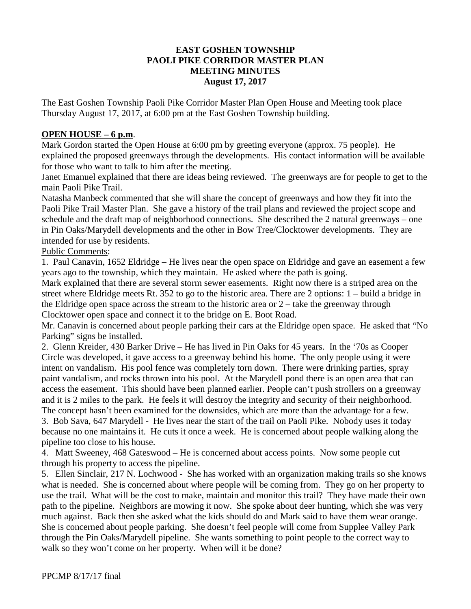#### **EAST GOSHEN TOWNSHIP PAOLI PIKE CORRIDOR MASTER PLAN MEETING MINUTES August 17, 2017**

The East Goshen Township Paoli Pike Corridor Master Plan Open House and Meeting took place Thursday August 17, 2017, at 6:00 pm at the East Goshen Township building.

### **OPEN HOUSE – 6 p.m**.

Mark Gordon started the Open House at 6:00 pm by greeting everyone (approx. 75 people). He explained the proposed greenways through the developments. His contact information will be available for those who want to talk to him after the meeting.

Janet Emanuel explained that there are ideas being reviewed. The greenways are for people to get to the main Paoli Pike Trail.

Natasha Manbeck commented that she will share the concept of greenways and how they fit into the Paoli Pike Trail Master Plan. She gave a history of the trail plans and reviewed the project scope and schedule and the draft map of neighborhood connections. She described the 2 natural greenways – one in Pin Oaks/Marydell developments and the other in Bow Tree/Clocktower developments. They are intended for use by residents.

Public Comments:

1. Paul Canavin, 1652 Eldridge – He lives near the open space on Eldridge and gave an easement a few years ago to the township, which they maintain. He asked where the path is going.

Mark explained that there are several storm sewer easements. Right now there is a striped area on the street where Eldridge meets Rt. 352 to go to the historic area. There are 2 options: 1 – build a bridge in the Eldridge open space across the stream to the historic area or  $2 -$  take the greenway through Clocktower open space and connect it to the bridge on E. Boot Road.

Mr. Canavin is concerned about people parking their cars at the Eldridge open space. He asked that "No Parking" signs be installed.

2. Glenn Kreider, 430 Barker Drive – He has lived in Pin Oaks for 45 years. In the '70s as Cooper Circle was developed, it gave access to a greenway behind his home. The only people using it were intent on vandalism. His pool fence was completely torn down. There were drinking parties, spray paint vandalism, and rocks thrown into his pool. At the Marydell pond there is an open area that can access the easement. This should have been planned earlier. People can't push strollers on a greenway and it is 2 miles to the park. He feels it will destroy the integrity and security of their neighborhood. The concept hasn't been examined for the downsides, which are more than the advantage for a few.

3. Bob Sava, 647 Marydell - He lives near the start of the trail on Paoli Pike. Nobody uses it today because no one maintains it. He cuts it once a week. He is concerned about people walking along the pipeline too close to his house.

4. Matt Sweeney, 468 Gateswood – He is concerned about access points. Now some people cut through his property to access the pipeline.

5. Ellen Sinclair, 217 N. Lochwood - She has worked with an organization making trails so she knows what is needed. She is concerned about where people will be coming from. They go on her property to use the trail. What will be the cost to make, maintain and monitor this trail? They have made their own path to the pipeline. Neighbors are mowing it now. She spoke about deer hunting, which she was very much against. Back then she asked what the kids should do and Mark said to have them wear orange. She is concerned about people parking. She doesn't feel people will come from Supplee Valley Park through the Pin Oaks/Marydell pipeline. She wants something to point people to the correct way to walk so they won't come on her property. When will it be done?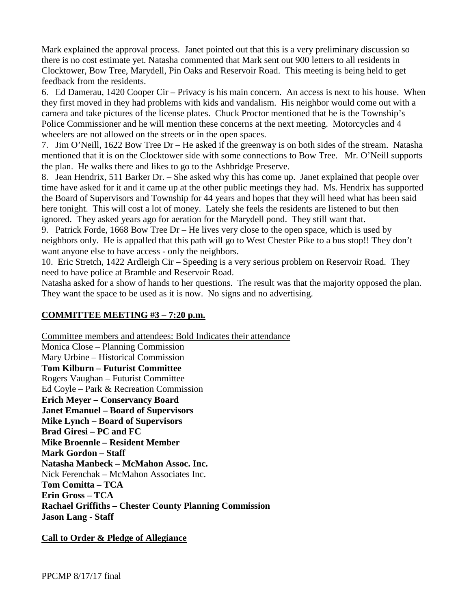Mark explained the approval process. Janet pointed out that this is a very preliminary discussion so there is no cost estimate yet. Natasha commented that Mark sent out 900 letters to all residents in Clocktower, Bow Tree, Marydell, Pin Oaks and Reservoir Road. This meeting is being held to get feedback from the residents.

6. Ed Damerau, 1420 Cooper Cir – Privacy is his main concern. An access is next to his house. When they first moved in they had problems with kids and vandalism. His neighbor would come out with a camera and take pictures of the license plates. Chuck Proctor mentioned that he is the Township's Police Commissioner and he will mention these concerns at the next meeting. Motorcycles and 4 wheelers are not allowed on the streets or in the open spaces.

7. Jim O'Neill, 1622 Bow Tree Dr – He asked if the greenway is on both sides of the stream. Natasha mentioned that it is on the Clocktower side with some connections to Bow Tree. Mr. O'Neill supports the plan. He walks there and likes to go to the Ashbridge Preserve.

8. Jean Hendrix, 511 Barker Dr. – She asked why this has come up. Janet explained that people over time have asked for it and it came up at the other public meetings they had. Ms. Hendrix has supported the Board of Supervisors and Township for 44 years and hopes that they will heed what has been said here tonight. This will cost a lot of money. Lately she feels the residents are listened to but then ignored. They asked years ago for aeration for the Marydell pond. They still want that.

9. Patrick Forde, 1668 Bow Tree Dr – He lives very close to the open space, which is used by neighbors only. He is appalled that this path will go to West Chester Pike to a bus stop!! They don't want anyone else to have access - only the neighbors.

10. Eric Stretch, 1422 Ardleigh Cir – Speeding is a very serious problem on Reservoir Road. They need to have police at Bramble and Reservoir Road.

Natasha asked for a show of hands to her questions. The result was that the majority opposed the plan. They want the space to be used as it is now. No signs and no advertising.

# **COMMITTEE MEETING #3 – 7:20 p.m.**

Committee members and attendees: Bold Indicates their attendance

Monica Close – Planning Commission Mary Urbine – Historical Commission **Tom Kilburn – Futurist Committee**  Rogers Vaughan – Futurist Committee Ed Coyle – Park & Recreation Commission **Erich Meyer – Conservancy Board Janet Emanuel – Board of Supervisors Mike Lynch – Board of Supervisors Brad Giresi – PC and FC Mike Broennle – Resident Member Mark Gordon – Staff Natasha Manbeck – McMahon Assoc. Inc.** Nick Ferenchak – McMahon Associates Inc. **Tom Comitta – TCA Erin Gross – TCA Rachael Griffiths – Chester County Planning Commission Jason Lang - Staff**

**Call to Order & Pledge of Allegiance**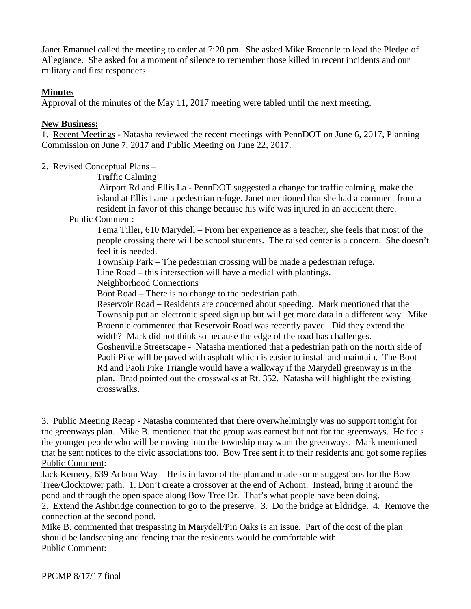Janet Emanuel called the meeting to order at 7:20 pm. She asked Mike Broennle to lead the Pledge of Allegiance. She asked for a moment of silence to remember those killed in recent incidents and our military and first responders.

## **Minutes**

Approval of the minutes of the May 11, 2017 meeting were tabled until the next meeting.

### **New Business:**

1. Recent Meetings - Natasha reviewed the recent meetings with PennDOT on June 6, 2017, Planning Commission on June 7, 2017 and Public Meeting on June 22, 2017.

### 2. Revised Conceptual Plans –

#### Traffic Calming

Airport Rd and Ellis La - PennDOT suggested a change for traffic calming, make the island at Ellis Lane a pedestrian refuge. Janet mentioned that she had a comment from a resident in favor of this change because his wife was injured in an accident there.

#### Public Comment:

Tema Tiller, 610 Marydell – From her experience as a teacher, she feels that most of the people crossing there will be school students. The raised center is a concern. She doesn't feel it is needed.

Township Park – The pedestrian crossing will be made a pedestrian refuge.

Line Road – this intersection will have a medial with plantings.

Neighborhood Connections

Boot Road – There is no change to the pedestrian path.

Reservoir Road – Residents are concerned about speeding. Mark mentioned that the Township put an electronic speed sign up but will get more data in a different way. Mike Broennle commented that Reservoir Road was recently paved. Did they extend the width? Mark did not think so because the edge of the road has challenges.

Goshenville Streetscape - Natasha mentioned that a pedestrian path on the north side of Paoli Pike will be paved with asphalt which is easier to install and maintain. The Boot Rd and Paoli Pike Triangle would have a walkway if the Marydell greenway is in the plan. Brad pointed out the crosswalks at Rt. 352. Natasha will highlight the existing crosswalks.

3. Public Meeting Recap - Natasha commented that there overwhelmingly was no support tonight for the greenways plan. Mike B. mentioned that the group was earnest but not for the greenways. He feels the younger people who will be moving into the township may want the greenways. Mark mentioned that he sent notices to the civic associations too. Bow Tree sent it to their residents and got some replies Public Comment:

Jack Kemery, 639 Achom Way – He is in favor of the plan and made some suggestions for the Bow Tree/Clocktower path. 1. Don't create a crossover at the end of Achom. Instead, bring it around the pond and through the open space along Bow Tree Dr. That's what people have been doing.

2. Extend the Ashbridge connection to go to the preserve. 3. Do the bridge at Eldridge. 4. Remove the connection at the second pond.

Mike B. commented that trespassing in Marydell/Pin Oaks is an issue. Part of the cost of the plan should be landscaping and fencing that the residents would be comfortable with. Public Comment: